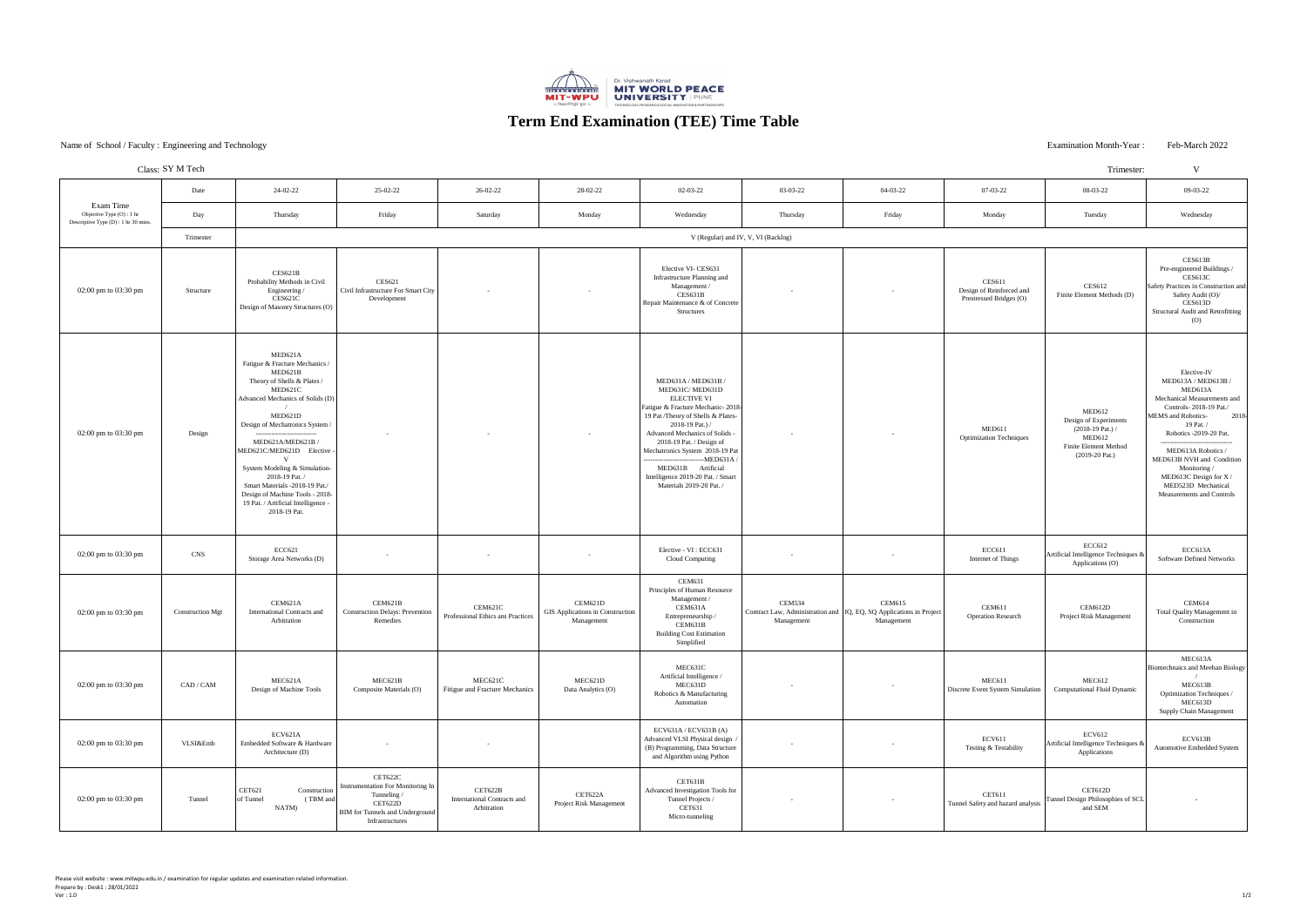### Examination Month-Year : Feb-March 2022

|                                                                                | Class: SY M Tech        |                                                                                                                                                                                                                                                                                                                                                                                                                   |                                                                                                                                     |                                                              |                                                                  |                                                                                                                                                                                                                                                                                                                                                                       |                                                                                                        |                             |                                                                      | Trimester:                                                                                                          | V                                                                                                                                                                                                                                                                                                                                  |
|--------------------------------------------------------------------------------|-------------------------|-------------------------------------------------------------------------------------------------------------------------------------------------------------------------------------------------------------------------------------------------------------------------------------------------------------------------------------------------------------------------------------------------------------------|-------------------------------------------------------------------------------------------------------------------------------------|--------------------------------------------------------------|------------------------------------------------------------------|-----------------------------------------------------------------------------------------------------------------------------------------------------------------------------------------------------------------------------------------------------------------------------------------------------------------------------------------------------------------------|--------------------------------------------------------------------------------------------------------|-----------------------------|----------------------------------------------------------------------|---------------------------------------------------------------------------------------------------------------------|------------------------------------------------------------------------------------------------------------------------------------------------------------------------------------------------------------------------------------------------------------------------------------------------------------------------------------|
| Exam Time<br>Objective Type (O) : 1 hr<br>Descriptive Type (D) : 1 hr 30 mins. | Date                    | 24-02-22                                                                                                                                                                                                                                                                                                                                                                                                          | 25-02-22                                                                                                                            | 26-02-22                                                     | 28-02-22                                                         | 02-03-22                                                                                                                                                                                                                                                                                                                                                              | 03-03-22                                                                                               | 04-03-22                    | 07-03-22                                                             | 08-03-22                                                                                                            | 09-03-22                                                                                                                                                                                                                                                                                                                           |
|                                                                                | Day                     | Thursday                                                                                                                                                                                                                                                                                                                                                                                                          | Friday                                                                                                                              | Saturday                                                     | Monday                                                           | Wednesday                                                                                                                                                                                                                                                                                                                                                             | Thursday                                                                                               | Friday                      | Monday                                                               | Tuesday                                                                                                             | Wednesday                                                                                                                                                                                                                                                                                                                          |
|                                                                                | Trimester               | V (Regular) and IV, V, VI (Backlog)                                                                                                                                                                                                                                                                                                                                                                               |                                                                                                                                     |                                                              |                                                                  |                                                                                                                                                                                                                                                                                                                                                                       |                                                                                                        |                             |                                                                      |                                                                                                                     |                                                                                                                                                                                                                                                                                                                                    |
| 02:00 pm to 03:30 pm                                                           | Structure               | CES621B<br>Probability Methods in Civil<br>Engineering<br><b>CES621C</b><br>Design of Masonry Structures (O)                                                                                                                                                                                                                                                                                                      | <b>CES621</b><br>Civil Infrastructure For Smart City<br>Development                                                                 | $\sim$                                                       |                                                                  | Elective VI- CES631<br>Infrastructure Planning and<br>Management /<br>CES631B<br>Repair Maintenance & of Concrete<br><b>Structures</b>                                                                                                                                                                                                                                |                                                                                                        | $\overline{\phantom{0}}$    | <b>CES611</b><br>Design of Reinforced and<br>Prestressed Bridges (O) | <b>CES612</b><br>Finite Element Methods (D)                                                                         | CES613B<br>Pre-engineered Buildings /<br>CES613C<br>Safety Practices in Construction and<br>Safety Audit (O)/<br>CES613D<br><b>Structural Audit and Retrofitting</b><br>(0)                                                                                                                                                        |
| 02:00 pm to 03:30 pm                                                           | Design                  | MED621A<br>Fatigue & Fracture Mechanics /<br>MED621B<br>Theory of Shells & Plates /<br>MED621C<br>Advanced Mechanics of Solids (D)<br>MED621D<br>Design of Mechatronics System /<br>MED621A/MED621B/<br>MED621C/MED621D Elective -<br>System Modeling & Simulation-<br>2018-19 Pat. /<br>Smart Materials -2018-19 Pat./<br>Design of Machine Tools - 2018-<br>19 Pat. / Artificial Intelligence -<br>2018-19 Pat. |                                                                                                                                     |                                                              |                                                                  | MED631A / MED631B /<br>MED631C/MED631D<br><b>ELECTIVE VI</b><br>Fatigue & Fracture Mechanic-2018-<br>19 Pat /Theory of Shells & Plates-<br>2018-19 Pat.) /<br><b>Advanced Mechanics of Solids</b><br>2018-19 Pat. / Design of<br>Mechatronics System 2018-19 Pat<br>$-MED631A$<br>MED631B Artificial<br>Intelligence 2019-20 Pat. / Smart<br>Materials 2019-20 Pat. / |                                                                                                        | $\sim$                      | MED611<br><b>Optimization Techniques</b>                             | MED612<br>Design of Experiments<br>$(2018-19$ Pat.) /<br>MED612<br><b>Finite Element Method</b><br>$(2019-20$ Pat.) | Elective-IV<br>MED613A / MED613B /<br>MED613A<br>Mechanical Measurements and<br>Controls-2018-19 Pat./<br>MEMS and Robotics-<br>2018<br>19 Pat. /<br>Robotics -2019-20 Pat.<br>MED613A Robotics /<br>MED613B NVH and Condition<br>Monitoring /<br>MED613C Design for X /<br>MED523D Mechanical<br><b>Measurements and Controls</b> |
| 02:00 pm to 03:30 pm                                                           | <b>CNS</b>              | <b>ECC621</b><br>Storage Area Networks (D)                                                                                                                                                                                                                                                                                                                                                                        | $\sim$                                                                                                                              |                                                              |                                                                  | Elective - VI : ECC631<br><b>Cloud Computing</b>                                                                                                                                                                                                                                                                                                                      |                                                                                                        | $\overline{\phantom{0}}$    | <b>ECC611</b><br>Internet of Things                                  | <b>ECC612</b><br>Artificial Intelligence Techniques &<br>Applications (O)                                           | ECC613A<br><b>Software Defined Networks</b>                                                                                                                                                                                                                                                                                        |
| 02:00 pm to 03:30 pm                                                           | <b>Construction Mgt</b> | CEM621A<br><b>International Contracts and</b><br>Arbitration                                                                                                                                                                                                                                                                                                                                                      | CEM621B<br><b>Construction Delays: Prevention</b><br>Remedies                                                                       | CEM621C<br>Professional Ethics ans Practices                 | CEM621D<br><b>GIS Applications in Construction</b><br>Management | <b>CEM631</b><br>Principles of Human Resource<br>Management /<br>CEM631A<br>Entrepreneurship /<br>CEM631B<br><b>Building Cost Estimation</b><br>Simplified                                                                                                                                                                                                            | <b>CEM534</b><br>Contract Law, Administration and   IQ, EQ, SQ Applications in Project  <br>Management | <b>CEM615</b><br>Management | <b>CEM611</b><br><b>Operation Research</b>                           | CEM612D<br>Project Risk Management                                                                                  | <b>CEM614</b><br>Total Quality Management in<br>Construction                                                                                                                                                                                                                                                                       |
| 02:00 pm to 03:30 pm                                                           | CAD / CAM               | MEC621A<br>Design of Machine Tools                                                                                                                                                                                                                                                                                                                                                                                | MEC621B<br>Composite Materials (O)                                                                                                  | MEC621C<br><b>Fitigue and Fracture Mechanics</b>             | MEC621D<br>Data Analytics (O)                                    | MEC631C<br>Artificial Intelligence /<br>MEC631D<br>Robotics & Manufacturing<br>Automation                                                                                                                                                                                                                                                                             |                                                                                                        | $\sim$                      | MEC611<br>Discrete Event System Simulation                           | MEC612<br><b>Computational Fluid Dynamic</b>                                                                        | MEC613A<br>Biomechnaics and Meehan Biology<br>MEC613B<br>Optimization Techniques /<br>MEC613D<br><b>Supply Chain Management</b>                                                                                                                                                                                                    |
| 02:00 pm to $03:30$ pm                                                         | VLSI&Emb                | ECV621A<br>Embedded Software & Hardware<br>Architecture (D)                                                                                                                                                                                                                                                                                                                                                       |                                                                                                                                     |                                                              |                                                                  | ECV631A/ECV631B(A)<br>Advanced VLSI Physical design<br>(B) Programming, Data Structure<br>and Algorithm using Python                                                                                                                                                                                                                                                  |                                                                                                        | $\sim$                      | <b>ECV611</b><br>Testing & Testability                               | <b>ECV612</b><br>Artificial Intelligence Techniques &<br>Applications                                               | ECV613B<br><b>Automotive Embedded System</b>                                                                                                                                                                                                                                                                                       |
| 02:00 pm to 03:30 pm                                                           | Tunnel                  | CET621<br>Construction<br>of Tunnel<br>(TBM and<br>NATM)                                                                                                                                                                                                                                                                                                                                                          | CET622C<br>Instrumentation For Monitoring In<br>Tunneling /<br>CET622D<br><b>BIM</b> for Tunnels and Underground<br>Infrastructures | CET622B<br><b>International Contracts and</b><br>Arbitration | CET622A<br>Project Risk Management                               | CET631B<br>Advanced Investigation Tools for<br>Tunnel Projects /<br><b>CET631</b><br>Micro-tunneling                                                                                                                                                                                                                                                                  |                                                                                                        |                             | CET611<br>Tunnel Safety and hazard analysis                          | CET612D<br>Tunnel Design Philosophies of SCL<br>and SEM                                                             |                                                                                                                                                                                                                                                                                                                                    |

# **Term End Examination (TEE) Time Table**